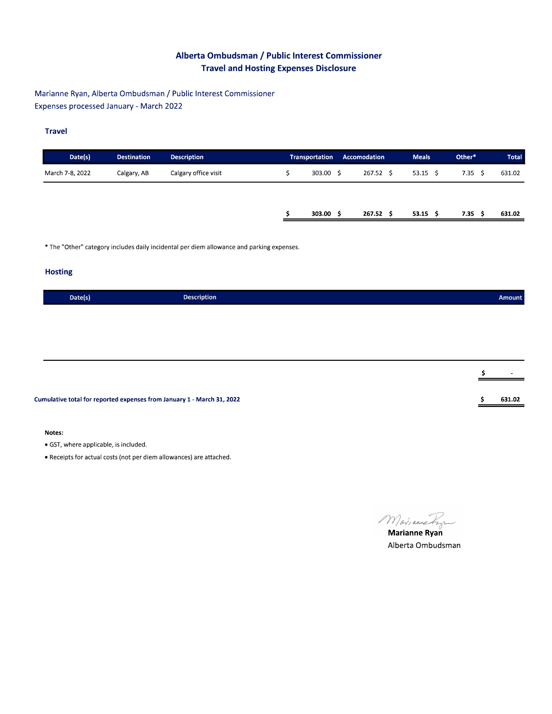# Alberta Ombudsman / Public Interest Commissioner **Travel and Hosting Expenses Disclosure**

Marianne Ryan, Alberta Ombudsman / Public Interest Commissioner Expenses processed January - March 2022

### **Travel**

| Date(s)         | <b>Destination</b> | <b>Description</b>   | <b>Transportation</b> | Accomodation  | <b>Meals</b> | Other*         |    | <b>Total</b> |
|-----------------|--------------------|----------------------|-----------------------|---------------|--------------|----------------|----|--------------|
| March 7-8, 2022 | Calgary, AB        | Calgary office visit | 303.00 \$             | 267.52 \$     | $53.15$ \$   | $7.35 \quad S$ |    | 631.02       |
|                 |                    |                      |                       |               |              |                |    |              |
|                 |                    |                      | 303.00                | 267.52<br>-S. | $53.15$ \$   | 7.35           | -S | 631.02       |

\* The "Other" category includes daily incidental per diem allowance and parking expenses.

### **Hosting**

| Date(s) | <b>Description</b> |
|---------|--------------------|
|         |                    |

Cumulative total for reported expenses from January 1 - March 31, 2022

#### Notes:

· GST, where applicable, is included.

• Receipts for actual costs (not per diem allowances) are attached.

Marianne Ryan

Alberta Ombudsman

Amount

631.02

\$

\$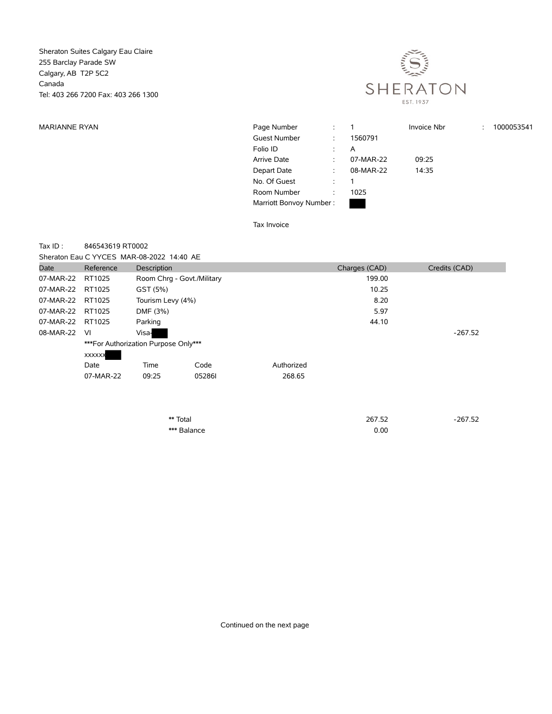Sheraton Suites Calgary Eau Claire 255 Barclay Parade SW Calgary, AB T2P 5C2 Canada Tel: 403 266 7200 Fax: 403 266 1300



| <b>MARIANNE RYAN</b> | Page Number             | $\mathcal{L}$        |           | Invoice Nbr | ÷ | 1000053541 |
|----------------------|-------------------------|----------------------|-----------|-------------|---|------------|
|                      | <b>Guest Number</b>     | $\ddot{ }$           | 1560791   |             |   |            |
|                      | Folio ID                | $\ddot{\phantom{0}}$ | A         |             |   |            |
|                      | Arrive Date             | ÷                    | 07-MAR-22 | 09:25       |   |            |
|                      | Depart Date             | $\ddot{\phantom{a}}$ | 08-MAR-22 | 14:35       |   |            |
|                      | No. Of Guest            | $\ddot{\phantom{a}}$ |           |             |   |            |
|                      | Room Number             |                      | 1025      |             |   |            |
|                      | Marriott Bonvoy Number: |                      |           |             |   |            |

Tax Invoice

## Tax ID : 846543619 RT0002

| Sheraton Eau C YYCES MAR-08-2022 14:40 AE |  |
|-------------------------------------------|--|
|-------------------------------------------|--|

| Date             | Reference     | Description                           |                            |            | Charges (CAD) | Credits (CAD) |
|------------------|---------------|---------------------------------------|----------------------------|------------|---------------|---------------|
| 07-MAR-22 RT1025 |               |                                       | Room Chrg - Govt./Military |            | 199.00        |               |
| 07-MAR-22        | RT1025        | GST (5%)                              |                            |            | 10.25         |               |
| 07-MAR-22 RT1025 |               | Tourism Levy (4%)                     |                            |            | 8.20          |               |
| 07-MAR-22 RT1025 |               | DMF (3%)                              |                            |            | 5.97          |               |
| 07-MAR-22 RT1025 |               | Parking                               |                            |            | 44.10         |               |
| 08-MAR-22        | - VI          | Visa-                                 |                            |            |               | $-267.52$     |
|                  | <b>XXXXXX</b> | *** For Authorization Purpose Only*** |                            |            |               |               |
|                  | Date          | Time                                  | Code                       | Authorized |               |               |
|                  | 07-MAR-22     | 09:25                                 | 052861                     | 268.65     |               |               |
|                  |               |                                       |                            |            |               |               |
|                  |               |                                       |                            |            |               |               |

| ** Total    | 267.52 | $-267.52$ |
|-------------|--------|-----------|
| *** Balance | 0.00   |           |

Continued on the next page